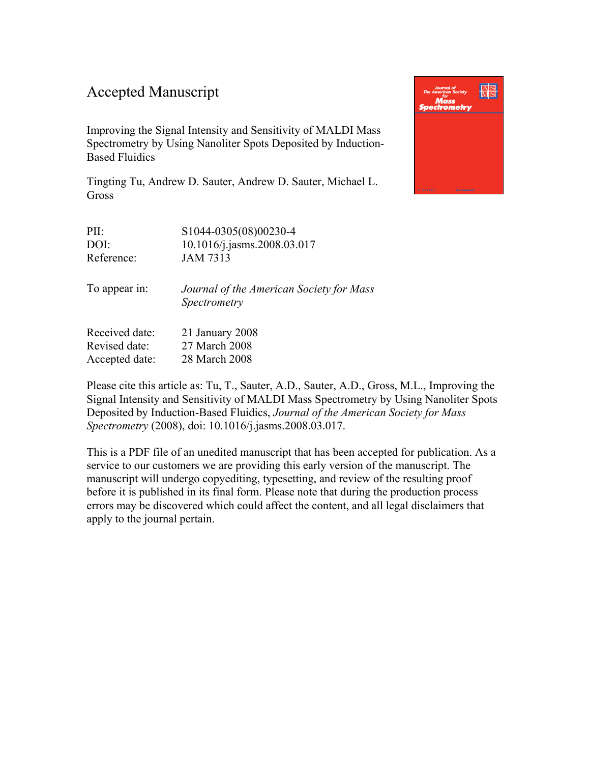### Accepted Manuscript

Improving the Signal Intensity and Sensitivity of MALDI Mass Spectrometry by Using Nanoliter Spots Deposited by Induction-Based Fluidics

Tingting Tu, Andrew D. Sauter, Andrew D. Sauter, Michael L. **Gross** 

| PII:       | S1044-0305(08)00230-4          |
|------------|--------------------------------|
| DOI:       | $10.1016$ /j.jasms.2008.03.017 |
| Reference: | <b>JAM 7313</b>                |
|            |                                |

To appear in: *Journal of the American Society for Mass Spectrometry*

Received date: 21 January 2008 Revised date: 27 March 2008 Accepted date: 28 March 2008

Please cite this article as: Tu, T., Sauter, A.D., Sauter, A.D., Gross, M.L., Improving the Signal Intensity and Sensitivity of MALDI Mass Spectrometry by Using Nanoliter Spots Deposited by Induction-Based Fluidics, *Journal of the American Society for Mass Spectrometry* (2008), do[i: 10.1016/j.jasms.2008.03.017.](http://dx.doi.org/10.1016/j.jasms.2008.03.017)

This is a PDF file of an unedited manuscript that has been accepted for publication. As a service to our customers we are providing this early version of the manuscript. The manuscript will undergo copyediting, typesetting, and review of the resulting proof before it is published in its final form. Please note that during the production process errors may be discovered which could affect the content, and all legal disclaimers that apply to the journal pertain.

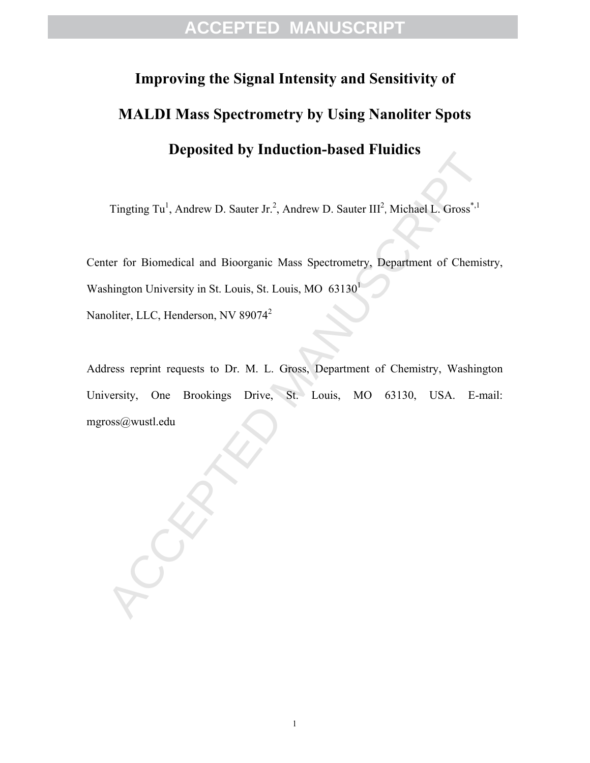# **Improving the Signal Intensity and Sensitivity of MALDI Mass Spectrometry by Using Nanoliter Spots Deposited by Induction-based Fluidics**

Tingting Tu<sup>1</sup>, Andrew D. Sauter Jr.<sup>2</sup>, Andrew D. Sauter III<sup>2</sup>, Michael L. Gross<sup>\*,1</sup>

Center for Biomedical and Bioorganic Mass Spectrometry, Department of Chemistry, Washington University in St. Louis, St. Louis, MO  $63130<sup>1</sup>$ 

Nanoliter, LLC, Henderson, NV 89074<sup>2</sup>

Deposited by Intuition-Dased Fitnines<br>
Tingting Tu<sup>1</sup>, Andrew D. Sauter Jr.<sup>2</sup>, Andrew D. Sauter III<sup>2</sup>, Michael L. Gross<sup>\*,1</sup><br>
ter for Biomedical and Bioorganic Mass Spectrometry, Department of Chemist<br>
shington Universit Address reprint requests to Dr. M. L. Gross, Department of Chemistry, Washington University, One Brookings Drive, St. Louis, MO 63130, USA. E-mail: mgross@wustl.edu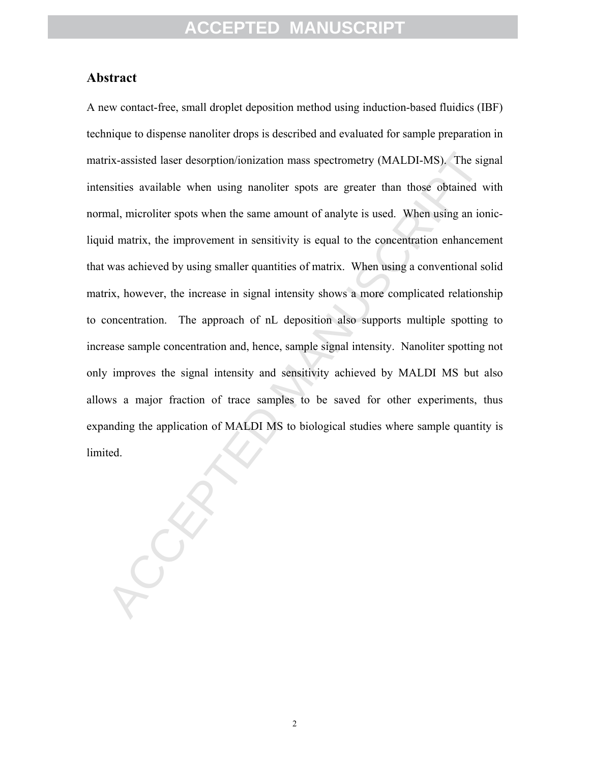#### **Abstract**

rix-assisted laser desorption/ionization mass spectrometry (MALDI-MS). The signsities available when using nanoliter spots are greater than those obtained w<br>mal, microliter spots when the same amount of analyte is used. Wh A new contact-free, small droplet deposition method using induction-based fluidics (IBF) technique to dispense nanoliter drops is described and evaluated for sample preparation in matrix-assisted laser desorption/ionization mass spectrometry (MALDI-MS). The signal intensities available when using nanoliter spots are greater than those obtained with normal, microliter spots when the same amount of analyte is used. When using an ionicliquid matrix, the improvement in sensitivity is equal to the concentration enhancement that was achieved by using smaller quantities of matrix. When using a conventional solid matrix, however, the increase in signal intensity shows a more complicated relationship to concentration. The approach of nL deposition also supports multiple spotting to increase sample concentration and, hence, sample signal intensity. Nanoliter spotting not only improves the signal intensity and sensitivity achieved by MALDI MS but also allows a major fraction of trace samples to be saved for other experiments, thus expanding the application of MALDI MS to biological studies where sample quantity is limited.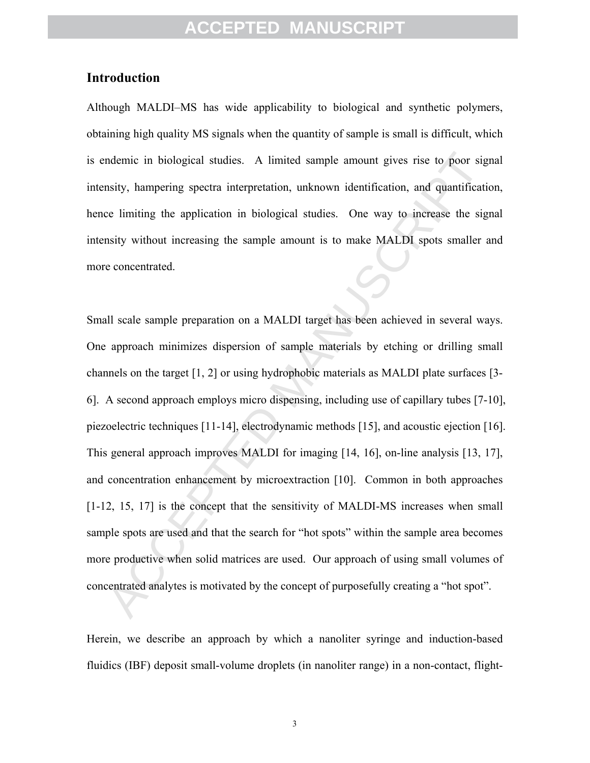### **Introduction**

Although MALDI–MS has wide applicability to biological and synthetic polymers, obtaining high quality MS signals when the quantity of sample is small is difficult, which is endemic in biological studies. A limited sample amount gives rise to poor signal intensity, hampering spectra interpretation, unknown identification, and quantification, hence limiting the application in biological studies. One way to increase the signal intensity without increasing the sample amount is to make MALDI spots smaller and more concentrated.

ndemic in biological studies. A limited sample amount gives rise to poor signsity, hampering spectra interpretation, unknown identification, and quantificative elimiting the application in biological studies. One way to in Small scale sample preparation on a MALDI target has been achieved in several ways. One approach minimizes dispersion of sample materials by etching or drilling small channels on the target [1, 2] or using hydrophobic materials as MALDI plate surfaces [3- 6]. A second approach employs micro dispensing, including use of capillary tubes [7-10], piezoelectric techniques [11-14], electrodynamic methods [15], and acoustic ejection [16]. This general approach improves MALDI for imaging [14, 16], on-line analysis [13, 17], and concentration enhancement by microextraction [10]. Common in both approaches [1-12, 15, 17] is the concept that the sensitivity of MALDI-MS increases when small sample spots are used and that the search for "hot spots" within the sample area becomes more productive when solid matrices are used. Our approach of using small volumes of concentrated analytes is motivated by the concept of purposefully creating a "hot spot".

Herein, we describe an approach by which a nanoliter syringe and induction-based fluidics (IBF) deposit small-volume droplets (in nanoliter range) in a non-contact, flight-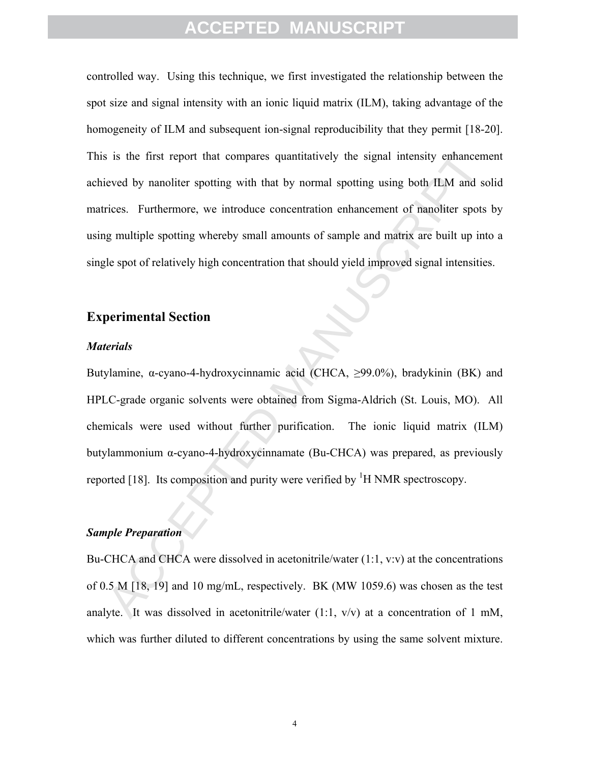is is the first report that compares quantitatively the signal intensity enhancement<br>veved by nanoliter spotting with that by normal spotting using both II.M and so<br>rices. Furthermore, we introduce concentration enhanceme controlled way. Using this technique, we first investigated the relationship between the spot size and signal intensity with an ionic liquid matrix (ILM), taking advantage of the homogeneity of ILM and subsequent ion-signal reproducibility that they permit [18-20]. This is the first report that compares quantitatively the signal intensity enhancement achieved by nanoliter spotting with that by normal spotting using both ILM and solid matrices. Furthermore, we introduce concentration enhancement of nanoliter spots by using multiple spotting whereby small amounts of sample and matrix are built up into a single spot of relatively high concentration that should yield improved signal intensities.

### **Experimental Section**

#### *Materials*

Butylamine, α-cyano-4-hydroxycinnamic acid (CHCA, ≥99.0%), bradykinin (BK) and HPLC-grade organic solvents were obtained from Sigma-Aldrich (St. Louis, MO). All chemicals were used without further purification. The ionic liquid matrix (ILM) butylammonium α-cyano-4-hydroxycinnamate (Bu-CHCA) was prepared, as previously reported [18]. Its composition and purity were verified by  ${}^{1}H$  NMR spectroscopy.

#### *Sample Preparation*

Bu-CHCA and CHCA were dissolved in acetonitrile/water  $(1:1, v:v)$  at the concentrations of 0.5 M [18, 19] and 10 mg/mL, respectively. BK (MW 1059.6) was chosen as the test analyte. It was dissolved in acetonitrile/water  $(1:1, v/v)$  at a concentration of 1 mM, which was further diluted to different concentrations by using the same solvent mixture.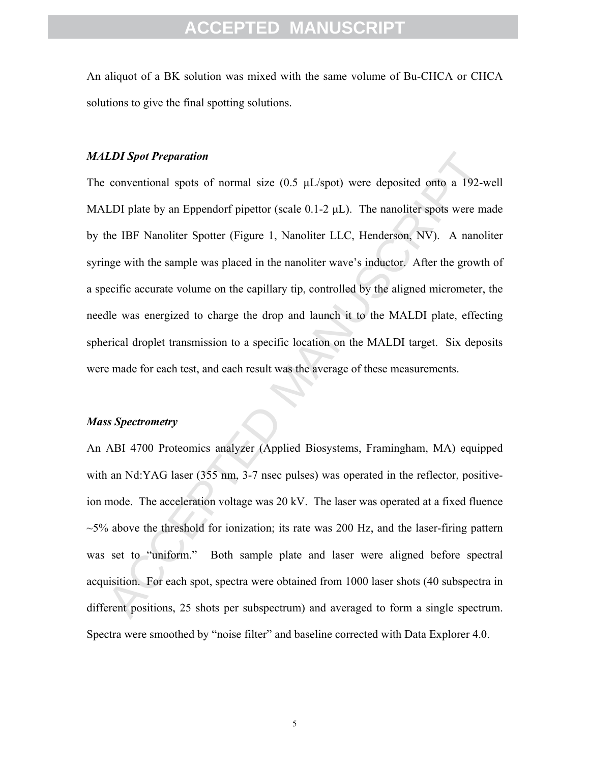An aliquot of a BK solution was mixed with the same volume of Bu-CHCA or CHCA solutions to give the final spotting solutions.

#### *MALDI Spot Preparation*

**LDI Spot Preparation**<br>conventional spots of normal size (0.5  $\mu$ 1/spot) were deposited onto a 192-w<br>LDI plate by an Eppendorf pipettor (scale 0.1-2  $\mu$ L). The nanoliter spots were ma<br>he IBF Nanoliter Spotter (Figure 1, The conventional spots of normal size (0.5 µL/spot) were deposited onto a 192-well MALDI plate by an Eppendorf pipettor (scale  $0.1$ -2  $\mu$ L). The nanoliter spots were made by the IBF Nanoliter Spotter (Figure 1, Nanoliter LLC, Henderson, NV). A nanoliter syringe with the sample was placed in the nanoliter wave's inductor. After the growth of a specific accurate volume on the capillary tip, controlled by the aligned micrometer, the needle was energized to charge the drop and launch it to the MALDI plate, effecting spherical droplet transmission to a specific location on the MALDI target. Six deposits were made for each test, and each result was the average of these measurements.

#### *Mass Spectrometry*

An ABI 4700 Proteomics analyzer (Applied Biosystems, Framingham, MA) equipped with an Nd:YAG laser (355 nm, 3-7 nsec pulses) was operated in the reflector, positiveion mode. The acceleration voltage was 20 kV. The laser was operated at a fixed fluence  $\sim$ 5% above the threshold for ionization; its rate was 200 Hz, and the laser-firing pattern was set to "uniform." Both sample plate and laser were aligned before spectral acquisition. For each spot, spectra were obtained from 1000 laser shots (40 subspectra in different positions, 25 shots per subspectrum) and averaged to form a single spectrum. Spectra were smoothed by "noise filter" and baseline corrected with Data Explorer 4.0.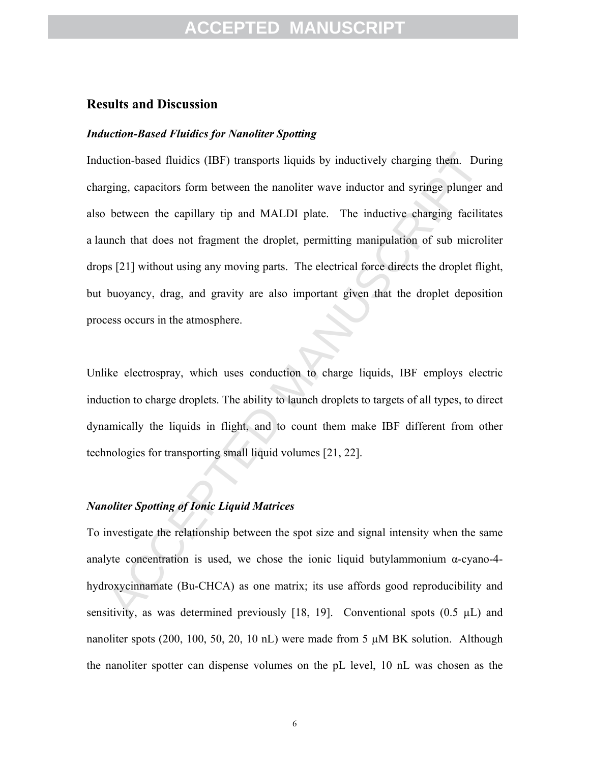#### **Results and Discussion**

#### *Induction-Based Fluidics for Nanoliter Spotting*

incor-based fluidies (IBF) transports liquids by inductively charging them. Duriging, capacitors form between the nanoliter wave inductor and syringe plunger a<br>between the capillary tip and MALDI plate. The inductive charg Induction-based fluidics (IBF) transports liquids by inductively charging them. During charging, capacitors form between the nanoliter wave inductor and syringe plunger and also between the capillary tip and MALDI plate. The inductive charging facilitates a launch that does not fragment the droplet, permitting manipulation of sub microliter drops [21] without using any moving parts. The electrical force directs the droplet flight, but buoyancy, drag, and gravity are also important given that the droplet deposition process occurs in the atmosphere.

Unlike electrospray, which uses conduction to charge liquids, IBF employs electric induction to charge droplets. The ability to launch droplets to targets of all types, to direct dynamically the liquids in flight, and to count them make IBF different from other technologies for transporting small liquid volumes [21, 22].

#### *Nanoliter Spotting of Ionic Liquid Matrices*

To investigate the relationship between the spot size and signal intensity when the same analyte concentration is used, we chose the ionic liquid butylammonium  $\alpha$ -cyano-4hydroxycinnamate (Bu-CHCA) as one matrix; its use affords good reproducibility and sensitivity, as was determined previously [18, 19]. Conventional spots  $(0.5 \mu L)$  and nanoliter spots (200, 100, 50, 20, 10 nL) were made from 5  $\mu$ M BK solution. Although the nanoliter spotter can dispense volumes on the pL level, 10 nL was chosen as the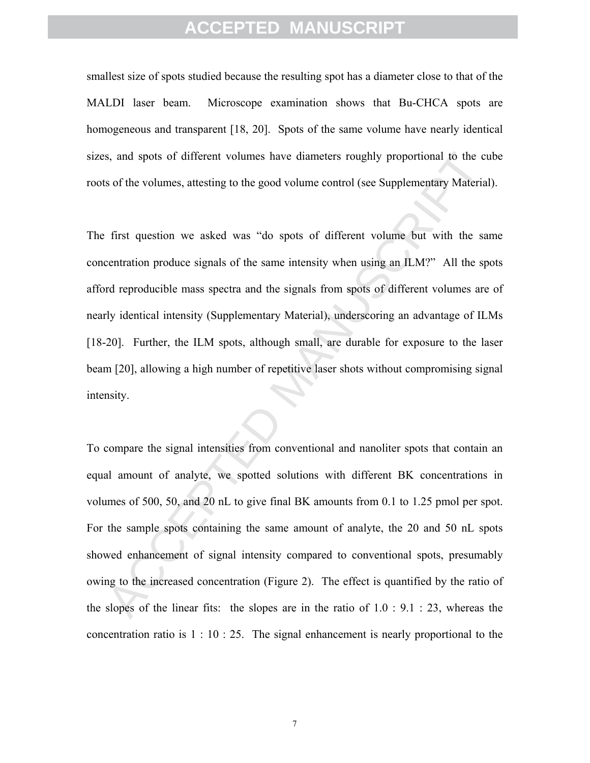smallest size of spots studied because the resulting spot has a diameter close to that of the MALDI laser beam. Microscope examination shows that Bu-CHCA spots are homogeneous and transparent [18, 20]. Spots of the same volume have nearly identical sizes, and spots of different volumes have diameters roughly proportional to the cube roots of the volumes, attesting to the good volume control (see Supplementary Material).

The first question we asked was "do spots of different volume but with the same concentration produce signals of the same intensity when using an ILM?" All the spots afford reproducible mass spectra and the signals from spots of different volumes are of nearly identical intensity (Supplementary Material), underscoring an advantage of ILMs [18-20]. Further, the ILM spots, although small, are durable for exposure to the laser beam [20], allowing a high number of repetitive laser shots without compromising signal intensity.

s, and spots of different volumes have diameters roughly proportional to the eurs of the volumes, attesting to the good volume control (see Supplementary Material<br>first question we asked was "do spots of different volume b To compare the signal intensities from conventional and nanoliter spots that contain an equal amount of analyte, we spotted solutions with different BK concentrations in volumes of 500, 50, and 20 nL to give final BK amounts from 0.1 to 1.25 pmol per spot. For the sample spots containing the same amount of analyte, the 20 and 50 nL spots showed enhancement of signal intensity compared to conventional spots, presumably owing to the increased concentration (Figure 2). The effect is quantified by the ratio of the slopes of the linear fits: the slopes are in the ratio of  $1.0 : 9.1 : 23$ , whereas the concentration ratio is 1 : 10 : 25. The signal enhancement is nearly proportional to the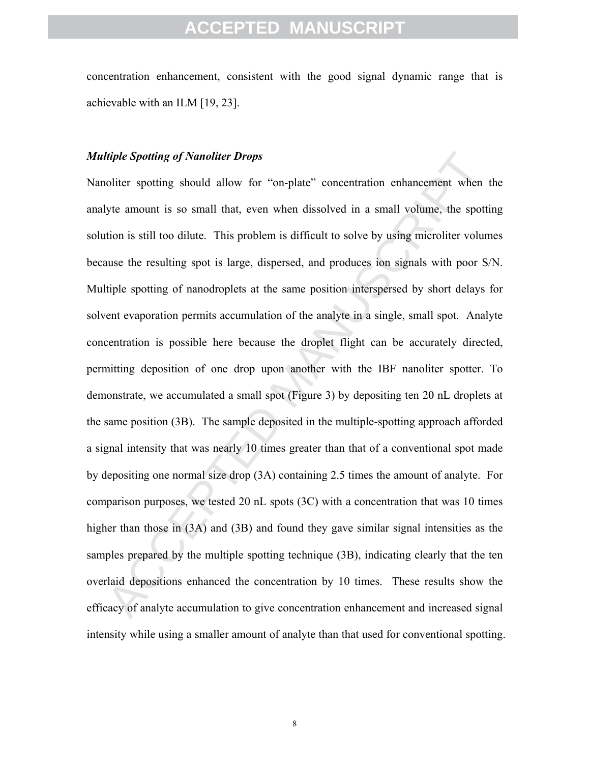concentration enhancement, consistent with the good signal dynamic range that is achievable with an ILM [19, 23].

#### *Multiple Spotting of Nanoliter Drops*

*litiple Spotiing of Nanoliter Drops*<br>whiter spoting should allow for "on-plate" concentration enhancement when<br>tyte amount is so small that, even when dissolved in a small volume, the spotti<br>tion is still too dilute. This Nanoliter spotting should allow for "on-plate" concentration enhancement when the analyte amount is so small that, even when dissolved in a small volume, the spotting solution is still too dilute. This problem is difficult to solve by using microliter volumes because the resulting spot is large, dispersed, and produces ion signals with poor S/N. Multiple spotting of nanodroplets at the same position interspersed by short delays for solvent evaporation permits accumulation of the analyte in a single, small spot. Analyte concentration is possible here because the droplet flight can be accurately directed, permitting deposition of one drop upon another with the IBF nanoliter spotter. To demonstrate, we accumulated a small spot (Figure 3) by depositing ten 20 nL droplets at the same position (3B). The sample deposited in the multiple-spotting approach afforded a signal intensity that was nearly 10 times greater than that of a conventional spot made by depositing one normal size drop (3A) containing 2.5 times the amount of analyte. For comparison purposes, we tested 20 nL spots (3C) with a concentration that was 10 times higher than those in (3A) and (3B) and found they gave similar signal intensities as the samples prepared by the multiple spotting technique (3B), indicating clearly that the ten overlaid depositions enhanced the concentration by 10 times. These results show the efficacy of analyte accumulation to give concentration enhancement and increased signal intensity while using a smaller amount of analyte than that used for conventional spotting.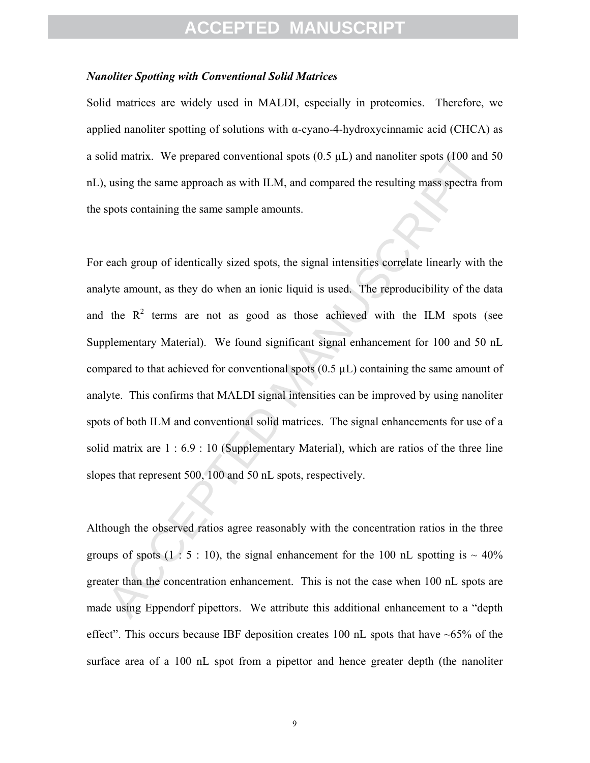#### *Nanoliter Spotting with Conventional Solid Matrices*

Solid matrices are widely used in MALDI, especially in proteomics. Therefore, we applied nanoliter spotting of solutions with  $\alpha$ -cyano-4-hydroxycinnamic acid (CHCA) as a solid matrix. We prepared conventional spots  $(0.5 \mu L)$  and nanoliter spots  $(100 \text{ and } 50 \text{)}$ nL), using the same approach as with ILM, and compared the resulting mass spectra from the spots containing the same sample amounts.

did matrix. We prepared conventional spots (0.5  $\mu$ 1.) and nanoliter spots (100 and<br>using the same approach as with H.M, and compared the resulting mass spectra fre<br>spots containing the same sample amounts.<br>cach group of For each group of identically sized spots, the signal intensities correlate linearly with the analyte amount, as they do when an ionic liquid is used. The reproducibility of the data and the  $R^2$  terms are not as good as those achieved with the ILM spots (see Supplementary Material). We found significant signal enhancement for 100 and 50 nL compared to that achieved for conventional spots  $(0.5 \mu L)$  containing the same amount of analyte. This confirms that MALDI signal intensities can be improved by using nanoliter spots of both ILM and conventional solid matrices. The signal enhancements for use of a solid matrix are 1 : 6.9 : 10 (Supplementary Material), which are ratios of the three line slopes that represent 500, 100 and 50 nL spots, respectively.

Although the observed ratios agree reasonably with the concentration ratios in the three groups of spots  $(1 \cdot 5 \cdot 10)$ , the signal enhancement for the 100 nL spotting is  $\sim 40\%$ greater than the concentration enhancement. This is not the case when 100 nL spots are made using Eppendorf pipettors. We attribute this additional enhancement to a "depth effect". This occurs because IBF deposition creates 100 nL spots that have  $~65\%$  of the surface area of a 100 nL spot from a pipettor and hence greater depth (the nanoliter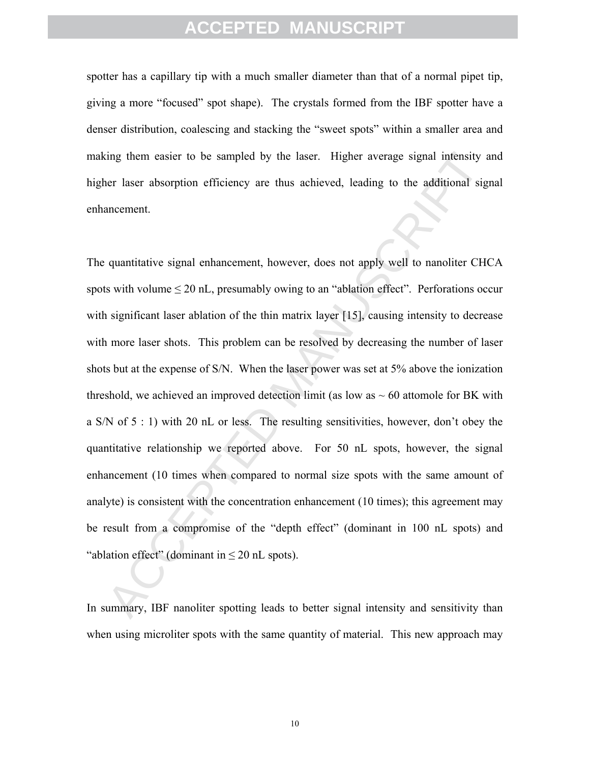spotter has a capillary tip with a much smaller diameter than that of a normal pipet tip, giving a more "focused" spot shape). The crystals formed from the IBF spotter have a denser distribution, coalescing and stacking the "sweet spots" within a smaller area and making them easier to be sampled by the laser. Higher average signal intensity and higher laser absorption efficiency are thus achieved, leading to the additional signal enhancement.

ting them easter to be sampled by the laser. Higher average signal intensity a<br>tor laser absorption efficiency are thus achieved, leading to the additional sign<br>ancement.<br>quantitative signal enhancement, however, does not The quantitative signal enhancement, however, does not apply well to nanoliter CHCA spots with volume  $\leq 20$  nL, presumably owing to an "ablation effect". Perforations occur with significant laser ablation of the thin matrix layer [15], causing intensity to decrease with more laser shots. This problem can be resolved by decreasing the number of laser shots but at the expense of S/N. When the laser power was set at 5% above the ionization threshold, we achieved an improved detection limit (as low as  $\sim 60$  attomole for BK with a S/N of 5 : 1) with 20 nL or less. The resulting sensitivities, however, don't obey the quantitative relationship we reported above. For 50 nL spots, however, the signal enhancement (10 times when compared to normal size spots with the same amount of analyte) is consistent with the concentration enhancement (10 times); this agreement may be result from a compromise of the "depth effect" (dominant in 100 nL spots) and "ablation effect" (dominant in  $\leq 20$  nL spots).

In summary, IBF nanoliter spotting leads to better signal intensity and sensitivity than when using microliter spots with the same quantity of material. This new approach may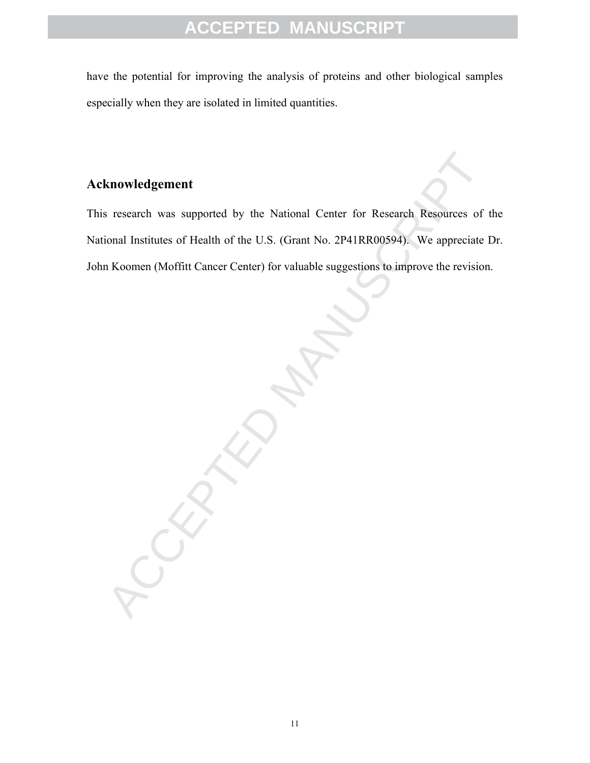have the potential for improving the analysis of proteins and other biological samples especially when they are isolated in limited quantities.

### **Acknowledgement**

Research was supported by the National Center for Research Resources of<br>tional Institutes of Health of the U.S. (Grant No. 2P41RR00594). We appreciate I<br>Koomen (Mofflit Cancer Center) for valuable suggestions to improve th This research was supported by the National Center for Research Resources of the National Institutes of Health of the U.S. (Grant No. 2P41RR00594). We appreciate Dr. John Koomen (Moffitt Cancer Center) for valuable suggestions to improve the revision.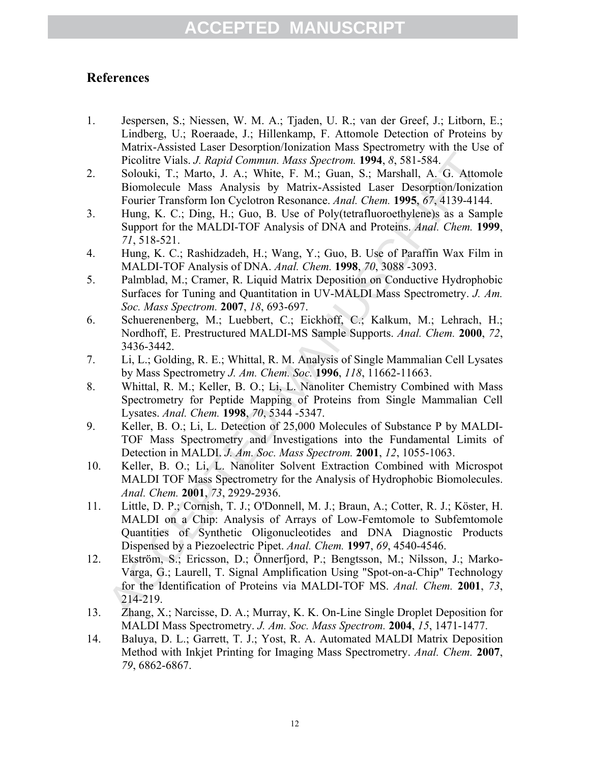### **References**

- 1. Jespersen, S.; Niessen, W. M. A.; Tjaden, U. R.; van der Greef, J.; Litborn, E.; Lindberg, U.; Roeraade, J.; Hillenkamp, F. Attomole Detection of Proteins by Matrix-Assisted Laser Desorption/Ionization Mass Spectrometry with the Use of Picolitre Vials. *J. Rapid Commun. Mass Spectrom.* **1994**, *8*, 581-584.
- 2. Solouki, T.; Marto, J. A.; White, F. M.; Guan, S.; Marshall, A. G. Attomole Biomolecule Mass Analysis by Matrix-Assisted Laser Desorption/Ionization Fourier Transform Ion Cyclotron Resonance. *Anal. Chem.* **1995**, *67*, 4139-4144.
- 3. Hung, K. C.; Ding, H.; Guo, B. Use of Poly(tetrafluoroethylene)s as a Sample Support for the MALDI-TOF Analysis of DNA and Proteins. *Anal. Chem.* **1999**, *71*, 518-521.
- 4. Hung, K. C.; Rashidzadeh, H.; Wang, Y.; Guo, B. Use of Paraffin Wax Film in MALDI-TOF Analysis of DNA. *Anal. Chem.* **1998**, *70*, 3088 -3093.
- 5. Palmblad, M.; Cramer, R. Liquid Matrix Deposition on Conductive Hydrophobic Surfaces for Tuning and Quantitation in UV-MALDI Mass Spectrometry. *J. Am. Soc. Mass Spectrom.* **2007**, *18*, 693-697.
- 6. Schuerenenberg, M.; Luebbert, C.; Eickhoff, C.; Kalkum, M.; Lehrach, H.; Nordhoff, E. Prestructured MALDI-MS Sample Supports. *Anal. Chem.* **2000**, *72*, 3436-3442.
- 7. Li, L.; Golding, R. E.; Whittal, R. M. Analysis of Single Mammalian Cell Lysates by Mass Spectrometry *J. Am. Chem. Soc.* **1996**, *118*, 11662-11663.
- 8. Whittal, R. M.; Keller, B. O.; Li, L. Nanoliter Chemistry Combined with Mass Spectrometry for Peptide Mapping of Proteins from Single Mammalian Cell Lysates. *Anal. Chem.* **1998**, *70*, 5344 -5347.
- 9. Keller, B. O.; Li, L. Detection of 25,000 Molecules of Substance P by MALDI-TOF Mass Spectrometry and Investigations into the Fundamental Limits of Detection in MALDI. *J. Am. Soc. Mass Spectrom.* **2001**, *12*, 1055-1063.
- 10. Keller, B. O.; Li, L. Nanoliter Solvent Extraction Combined with Microspot MALDI TOF Mass Spectrometry for the Analysis of Hydrophobic Biomolecules. *Anal. Chem.* **2001**, *73*, 2929-2936.
- 11. Little, D. P.; Cornish, T. J.; O'Donnell, M. J.; Braun, A.; Cotter, R. J.; Köster, H. MALDI on a Chip: Analysis of Arrays of Low-Femtomole to Subfemtomole Quantities of Synthetic Oligonucleotides and DNA Diagnostic Products Dispensed by a Piezoelectric Pipet. *Anal. Chem.* **1997**, *69*, 4540-4546.
- Bicolity Vials. J. Rapid Commun. Mass Spectrom. 1994, 8, S81-584.<br>
Solouki, T.; Marto, J. A., White, F. M.; Guarn, S.; Marshall, Λ. G. Matom<br>
Fiorolice Mass Analysis by Mattix-Assisted Laser Desorption/lonizati<br>
Four Term 12. Ekström, S.; Ericsson, D.; Önnerfjord, P.; Bengtsson, M.; Nilsson, J.; Marko-Varga, G.; Laurell, T. Signal Amplification Using "Spot-on-a-Chip" Technology for the Identification of Proteins via MALDI-TOF MS. *Anal. Chem.* **2001**, *73*, 214-219.
- 13. Zhang, X.; Narcisse, D. A.; Murray, K. K. On-Line Single Droplet Deposition for MALDI Mass Spectrometry. *J. Am. Soc. Mass Spectrom.* **2004**, *15*, 1471-1477.
- 14. Baluya, D. L.; Garrett, T. J.; Yost, R. A. Automated MALDI Matrix Deposition Method with Inkjet Printing for Imaging Mass Spectrometry. *Anal. Chem.* **2007**, *79*, 6862-6867.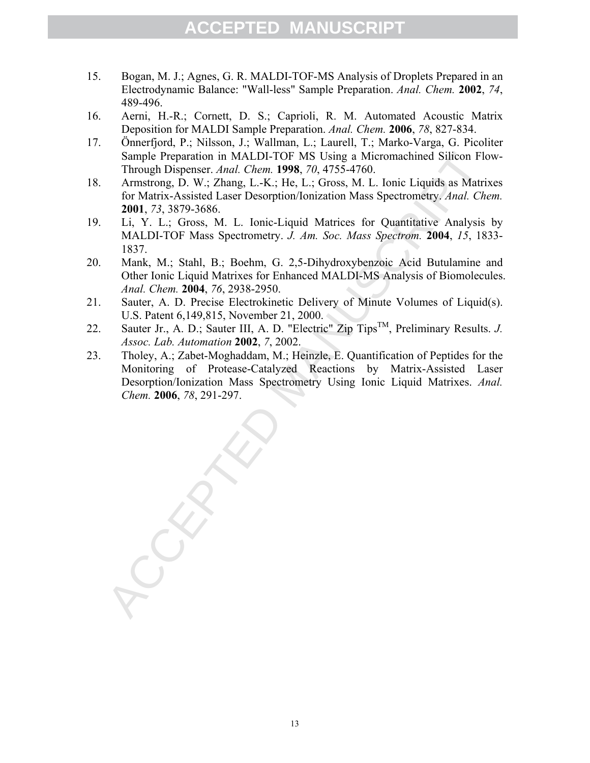- 15. Bogan, M. J.; Agnes, G. R. MALDI-TOF-MS Analysis of Droplets Prepared in an Electrodynamic Balance: "Wall-less" Sample Preparation. *Anal. Chem.* **2002**, *74*, 489-496.
- 16. Aerni, H.-R.; Cornett, D. S.; Caprioli, R. M. Automated Acoustic Matrix Deposition for MALDI Sample Preparation. *Anal. Chem.* **2006**, *78*, 827-834.
- 17. Önnerfjord, P.; Nilsson, J.; Wallman, L.; Laurell, T.; Marko-Varga, G. Picoliter Sample Preparation in MALDI-TOF MS Using a Micromachined Silicon Flow-Through Dispenser. *Anal. Chem.* **1998**, *70*, 4755-4760.
- 18. Armstrong, D. W.; Zhang, L.-K.; He, L.; Gross, M. L. Ionic Liquids as Matrixes for Matrix-Assisted Laser Desorption/Ionization Mass Spectrometry. *Anal. Chem.* **2001**, *73*, 3879-3686.
- 19. Li, Y. L.; Gross, M. L. Ionic-Liquid Matrices for Quantitative Analysis by MALDI-TOF Mass Spectrometry. *J. Am. Soc. Mass Spectrom.* **2004**, *15*, 1833- 1837.
- 20. Mank, M.; Stahl, B.; Boehm, G. 2,5-Dihydroxybenzoic Acid Butulamine and Other Ionic Liquid Matrixes for Enhanced MALDI-MS Analysis of Biomolecules. *Anal. Chem.* **2004**, *76*, 2938-2950.
- 21. Sauter, A. D. Precise Electrokinetic Delivery of Minute Volumes of Liquid(s). U.S. Patent 6,149,815, November 21, 2000.
- 22. Sauter Jr., A. D.; Sauter III, A. D. "Electric" Zip TipsTM, Preliminary Results. *J. Assoc. Lab. Automation* **2002**, *7*, 2002.
- Sample Preparation in MAI.DI-TOF MS Using a Micromachined Silicon Flo<br>Through Dispenser. Anal. Chem. 1998, 70, 4755-4760.<br>Armstrong, D. W.; Zhang, L.-K.; He, L.; Gross, M. L. lonic Liquids as Matrix<br>for Matrix-Assisted La 23. Tholey, A.; Zabet-Moghaddam, M.; Heinzle, E. Quantification of Peptides for the Monitoring of Protease-Catalyzed Reactions by Matrix-Assisted Laser Desorption/Ionization Mass Spectrometry Using Ionic Liquid Matrixes. *Anal. Chem.* **2006**, *78*, 291-297.

13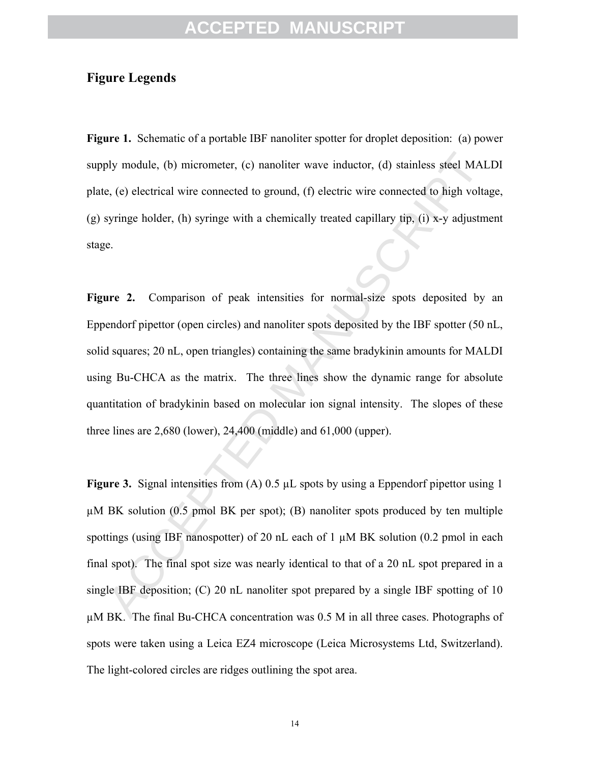#### **Figure Legends**

**Figure 1.** Schematic of a portable IBF nanoliter spotter for droplet deposition: (a) power supply module, (b) micrometer, (c) nanoliter wave inductor, (d) stainless steel MALDI plate, (e) electrical wire connected to ground, (f) electric wire connected to high voltage, (g) syringe holder, (h) syringe with a chemically treated capillary tip, (i) x-y adjustment stage.

bly module, (b) micrometer, (c) nanoliter wave inductor, (d) stainless steel MAL<br>
e, (e) electrical wire connected to ground, (f) electric wire connected to high volta<br>
syringe holder, (h) syringe with a chemically treate Figure 2. Comparison of peak intensities for normal-size spots deposited by an Eppendorf pipettor (open circles) and nanoliter spots deposited by the IBF spotter (50 nL, solid squares; 20 nL, open triangles) containing the same bradykinin amounts for MALDI using Bu-CHCA as the matrix. The three lines show the dynamic range for absolute quantitation of bradykinin based on molecular ion signal intensity. The slopes of these three lines are 2,680 (lower), 24,400 (middle) and 61,000 (upper).

**Figure 3.** Signal intensities from (A) 0.5 µL spots by using a Eppendorf pipettor using 1  $\mu$ M BK solution (0.5 pmol BK per spot); (B) nanoliter spots produced by ten multiple spottings (using IBF nanospotter) of 20 nL each of 1  $\mu$ M BK solution (0.2 pmol in each final spot). The final spot size was nearly identical to that of a 20 nL spot prepared in a single IBF deposition; (C) 20 nL nanoliter spot prepared by a single IBF spotting of 10 µM BK. The final Bu-CHCA concentration was 0.5 M in all three cases. Photographs of spots were taken using a Leica EZ4 microscope (Leica Microsystems Ltd, Switzerland). The light-colored circles are ridges outlining the spot area.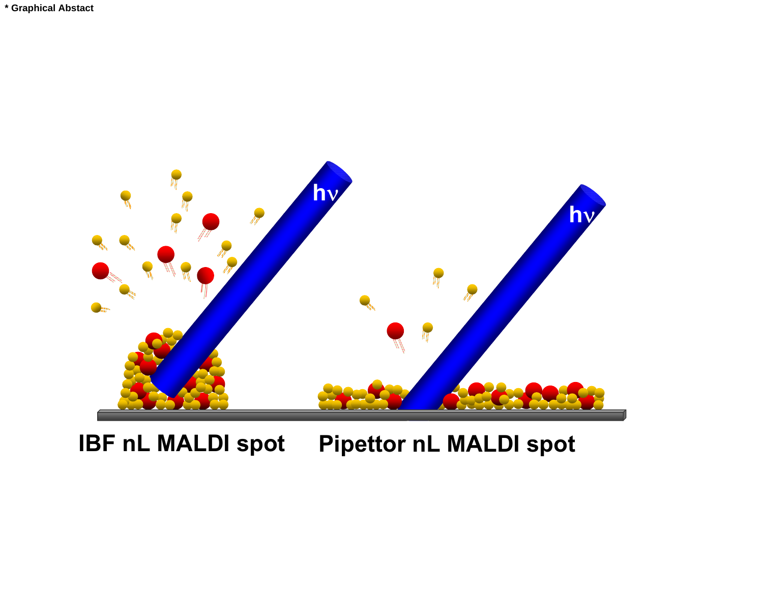

# **IBF nL MALDI spot Pipettor nL MALDI spot**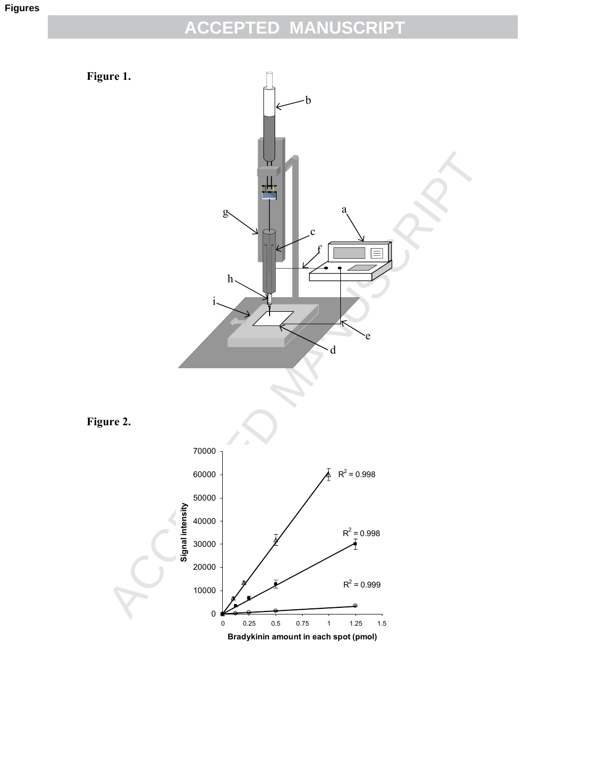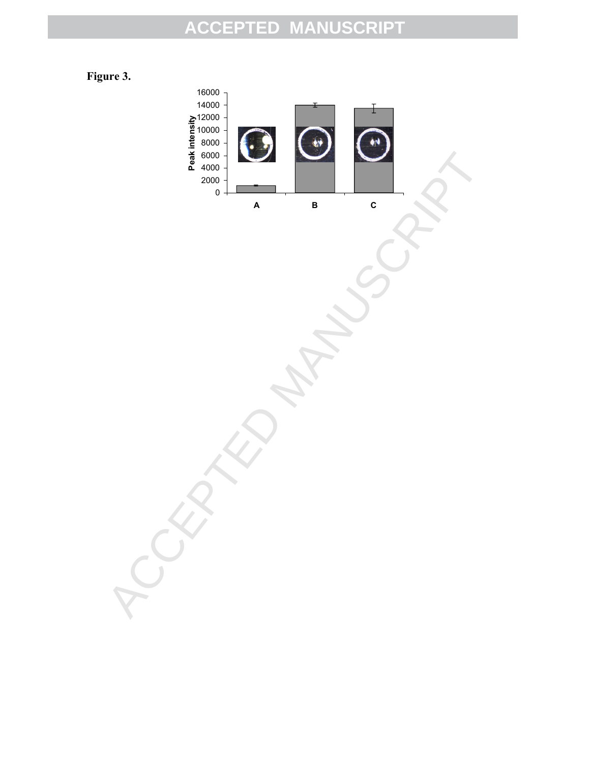